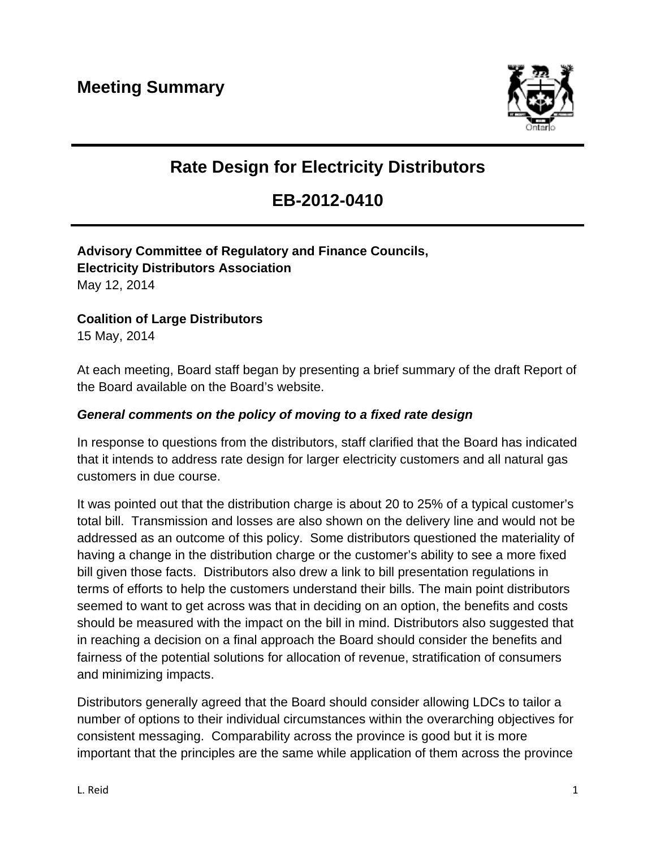

# **Rate Design for Electricity Distributors**

## **EB-2012-0410**

**Advisory Committee of Regulatory and Finance Councils, Electricity Distributors Association**  May 12, 2014

**Coalition of Large Distributors** 

15 May, 2014

At each meeting, Board staff began by presenting a brief summary of the draft Report of the Board available on the Board's website.

#### *General comments on the policy of moving to a fixed rate design*

In response to questions from the distributors, staff clarified that the Board has indicated that it intends to address rate design for larger electricity customers and all natural gas customers in due course.

It was pointed out that the distribution charge is about 20 to 25% of a typical customer's total bill. Transmission and losses are also shown on the delivery line and would not be addressed as an outcome of this policy. Some distributors questioned the materiality of having a change in the distribution charge or the customer's ability to see a more fixed bill given those facts. Distributors also drew a link to bill presentation regulations in terms of efforts to help the customers understand their bills. The main point distributors seemed to want to get across was that in deciding on an option, the benefits and costs should be measured with the impact on the bill in mind. Distributors also suggested that in reaching a decision on a final approach the Board should consider the benefits and fairness of the potential solutions for allocation of revenue, stratification of consumers and minimizing impacts.

Distributors generally agreed that the Board should consider allowing LDCs to tailor a number of options to their individual circumstances within the overarching objectives for consistent messaging. Comparability across the province is good but it is more important that the principles are the same while application of them across the province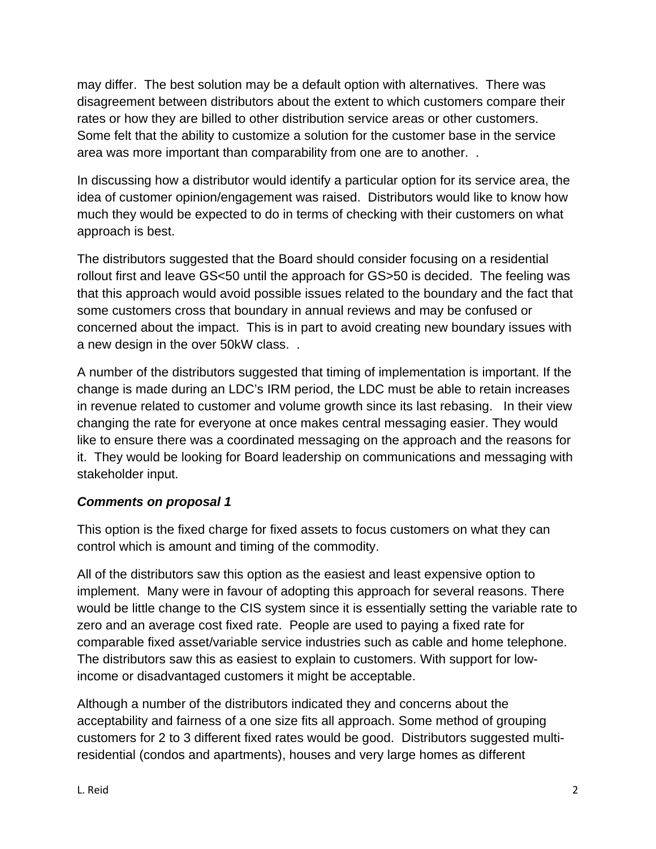may differ. The best solution may be a default option with alternatives. There was disagreement between distributors about the extent to which customers compare their rates or how they are billed to other distribution service areas or other customers. Some felt that the ability to customize a solution for the customer base in the service area was more important than comparability from one are to another. .

In discussing how a distributor would identify a particular option for its service area, the idea of customer opinion/engagement was raised. Distributors would like to know how much they would be expected to do in terms of checking with their customers on what approach is best.

The distributors suggested that the Board should consider focusing on a residential rollout first and leave GS<50 until the approach for GS>50 is decided. The feeling was that this approach would avoid possible issues related to the boundary and the fact that some customers cross that boundary in annual reviews and may be confused or concerned about the impact. This is in part to avoid creating new boundary issues with a new design in the over 50kW class. .

A number of the distributors suggested that timing of implementation is important. If the change is made during an LDC's IRM period, the LDC must be able to retain increases in revenue related to customer and volume growth since its last rebasing. In their view changing the rate for everyone at once makes central messaging easier. They would like to ensure there was a coordinated messaging on the approach and the reasons for it. They would be looking for Board leadership on communications and messaging with stakeholder input.

#### *Comments on proposal 1*

This option is the fixed charge for fixed assets to focus customers on what they can control which is amount and timing of the commodity.

All of the distributors saw this option as the easiest and least expensive option to implement. Many were in favour of adopting this approach for several reasons. There would be little change to the CIS system since it is essentially setting the variable rate to zero and an average cost fixed rate. People are used to paying a fixed rate for comparable fixed asset/variable service industries such as cable and home telephone. The distributors saw this as easiest to explain to customers. With support for lowincome or disadvantaged customers it might be acceptable.

Although a number of the distributors indicated they and concerns about the acceptability and fairness of a one size fits all approach. Some method of grouping customers for 2 to 3 different fixed rates would be good. Distributors suggested multiresidential (condos and apartments), houses and very large homes as different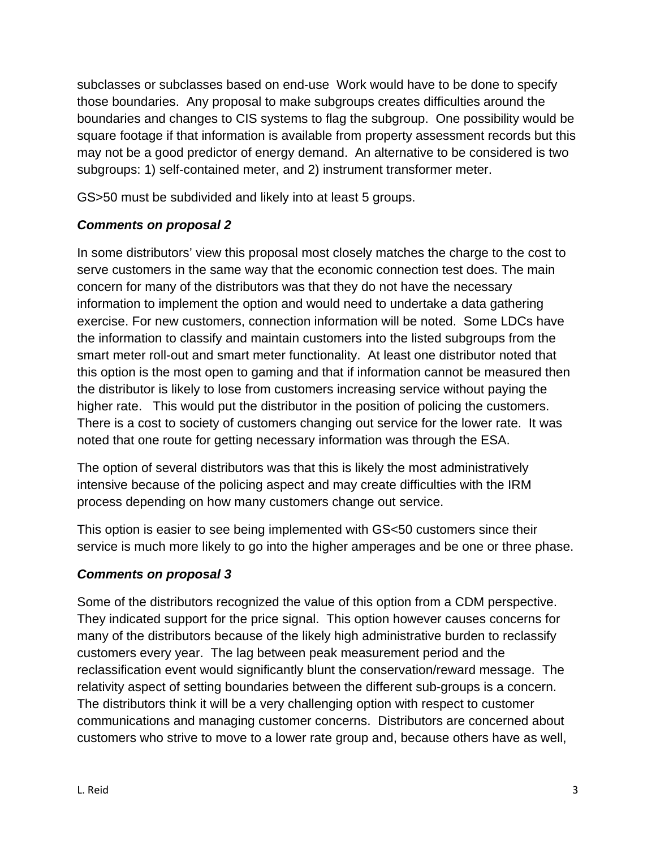subclasses or subclasses based on end-use Work would have to be done to specify those boundaries. Any proposal to make subgroups creates difficulties around the boundaries and changes to CIS systems to flag the subgroup. One possibility would be square footage if that information is available from property assessment records but this may not be a good predictor of energy demand. An alternative to be considered is two subgroups: 1) self-contained meter, and 2) instrument transformer meter.

GS>50 must be subdivided and likely into at least 5 groups.

### *Comments on proposal 2*

In some distributors' view this proposal most closely matches the charge to the cost to serve customers in the same way that the economic connection test does. The main concern for many of the distributors was that they do not have the necessary information to implement the option and would need to undertake a data gathering exercise. For new customers, connection information will be noted. Some LDCs have the information to classify and maintain customers into the listed subgroups from the smart meter roll-out and smart meter functionality. At least one distributor noted that this option is the most open to gaming and that if information cannot be measured then the distributor is likely to lose from customers increasing service without paying the higher rate. This would put the distributor in the position of policing the customers. There is a cost to society of customers changing out service for the lower rate. It was noted that one route for getting necessary information was through the ESA.

The option of several distributors was that this is likely the most administratively intensive because of the policing aspect and may create difficulties with the IRM process depending on how many customers change out service.

This option is easier to see being implemented with GS<50 customers since their service is much more likely to go into the higher amperages and be one or three phase.

#### *Comments on proposal 3*

Some of the distributors recognized the value of this option from a CDM perspective. They indicated support for the price signal. This option however causes concerns for many of the distributors because of the likely high administrative burden to reclassify customers every year. The lag between peak measurement period and the reclassification event would significantly blunt the conservation/reward message. The relativity aspect of setting boundaries between the different sub-groups is a concern. The distributors think it will be a very challenging option with respect to customer communications and managing customer concerns. Distributors are concerned about customers who strive to move to a lower rate group and, because others have as well,